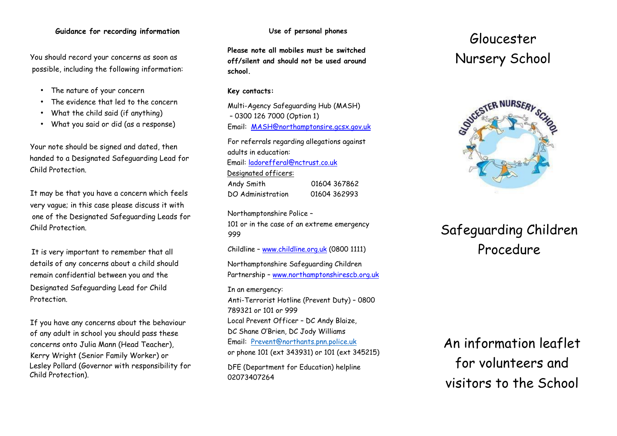#### **Guidance for recording information**

You should record your concerns as soon as possible, including the following information:

- The nature of your concern
- The evidence that led to the concern
- What the child said (if anything)
- What you said or did (as a response)

Your note should be signed and dated, then handed to a Designated Safeguarding Lead for Child Protection.

It may be that you have a concern which feels very vague; in this case please discuss it with one of the Designated Safeguarding Leads for Child Protection.

It is very important to remember that all details of any concerns about a child should remain confidential between you and the Designated Safeguarding Lead for Child Protection.

If you have any concerns about the behaviour of any adult in school you should pass these concerns onto Julia Mann (Head Teacher), Kerry Wright (Senior Family Worker) or Lesley Pollard (Governor with responsibility for Child Protection).

#### **Use of personal phones**

**Please note all mobiles must be switched off/silent and should not be used around school.**

#### **Key contacts:**

Multi-Agency Safeguarding Hub (MASH) – 0300 126 7000 (Option 1) Email: MASH@northamptonsire.gcsx.gov.uk

For referrals regarding allegations against adults in education: Email: ladorefferal@nctrust.co.uk Designated officers: Andy Smith 01604 367862

DO Administration 01604 362993

Northamptonshire Police – 101 or in the case of an extreme emergency 999

Childline [–](http://www.childline.org.uk/) [www.childline.org.uk](http://www.childline.org.uk/) [\(](http://www.childline.org.uk/)0800 1111)

Northamptonshire Safeguarding Children Partnership – [www.northamptonshirescb.org.uk](http://www.northamptonshirescb.org.uk/)

In an emergency: Anti-Terrorist Hotline (Prevent Duty) – 0800 789321 or 101 or 999 Local Prevent Officer – DC Andy Blaize, DC Shane O'Brien, DC Jody Williams Email: [Prevent@northants.pnn.police.uk](mailto:Prevent@northants.pnn.police.uk) or phone 101 (ext 343931) or 101 (ext 345215)

DFE (Department for Education) helpline 02073407264

# Gloucester Nursery School



# Safeguarding Children Procedure

An information leaflet for volunteers and visitors to the School